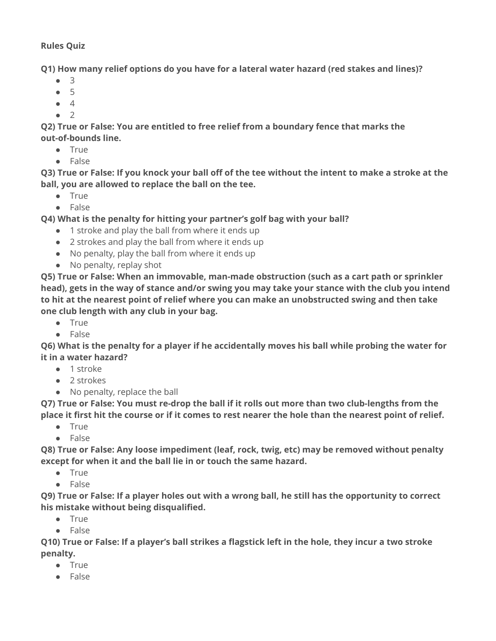## **Rules Quiz**

**Q1) How many relief options do you have for a lateral water hazard (red stakes and lines)?**

- 3
- 5
- 4
- 2

**Q2) True or False: You are entitled to free relief from a boundary fence that marks the out-of-bounds line.**

- True
- False

**Q3) True or False: If you knock your ball off of the tee without the intent to make a stroke at the ball, you are allowed to replace the ball on the tee.**

- True
- False

**Q4) What is the penalty for hitting your partner's golf bag with your ball?**

- 1 stroke and play the ball from where it ends up
- 2 strokes and play the ball from where it ends up
- No penalty, play the ball from where it ends up
- No penalty, replay shot

**Q5) True or False: When an immovable, man-made obstruction (such as a cart path or sprinkler head), gets in the way of stance and/or swing you may take your stance with the club you intend to hit at the nearest point of relief where you can make an unobstructed swing and then take one club length with any club in your bag.**

- True
- False

**Q6) What is the penalty for a player if he accidentally moves his ball while probing the water for it in a water hazard?**

- 1 stroke
- 2 strokes
- No penalty, replace the ball

**Q7) True or False: You must re-drop the ball if it rolls out more than two club-lengths from the place it first hit the course or if it comes to rest nearer the hole than the nearest point of relief.**

- True
- False

**Q8) True or False: Any loose impediment (leaf, rock, twig, etc) may be removed without penalty except for when it and the ball lie in or touch the same hazard.**

- True
- False

**Q9) True or False: If a player holes out with a wrong ball, he still has the opportunity to correct his mistake without being disqualified.**

- True
- False

**Q10) True or False: If a player's ball strikes a flagstick left in the hole, they incur a two stroke penalty.**

- True
- False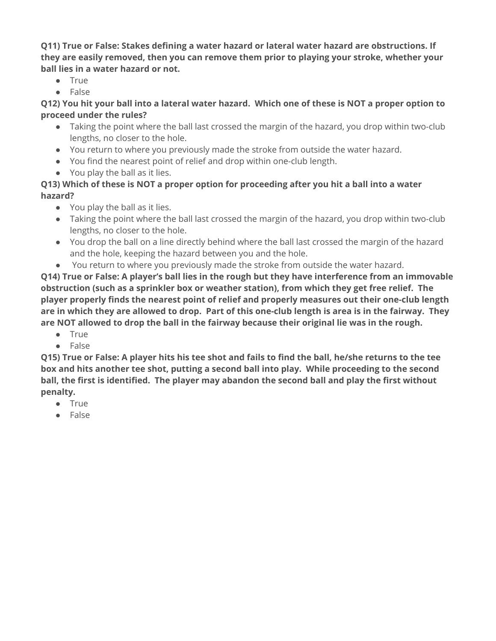**Q11) True or False: Stakes defining a water hazard or lateral water hazard are obstructions. If they are easily removed, then you can remove them prior to playing your stroke, whether your ball lies in a water hazard or not.**

- True
- False

**Q12) You hit your ball into a lateral water hazard. Which one of these is NOT a proper option to proceed under the rules?**

- Taking the point where the ball last crossed the margin of the hazard, you drop within two-club lengths, no closer to the hole.
- You return to where you previously made the stroke from outside the water hazard.
- You find the nearest point of relief and drop within one-club length.
- You play the ball as it lies.

## **Q13) Which of these is NOT a proper option for proceeding after you hit a ball into a water hazard?**

- You play the ball as it lies.
- Taking the point where the ball last crossed the margin of the hazard, you drop within two-club lengths, no closer to the hole.
- You drop the ball on a line directly behind where the ball last crossed the margin of the hazard and the hole, keeping the hazard between you and the hole.
- You return to where you previously made the stroke from outside the water hazard.

**Q14) True or False: A player's ball lies in the rough but they have interference from an immovable obstruction (such as a sprinkler box or weather station), from which they get free relief. The player properly finds the nearest point of relief and properly measures out their one-club length are in which they are allowed to drop. Part of this one-club length is area is in the fairway. They are NOT allowed to drop the ball in the fairway because their original lie was in the rough.**

- True
- False

**Q15) True or False: A player hits his tee shot and fails to find the ball, he/she returns to the tee box and hits another tee shot, putting a second ball into play. While proceeding to the second ball, the first is identified. The player may abandon the second ball and play the first without penalty.**

- True
- False